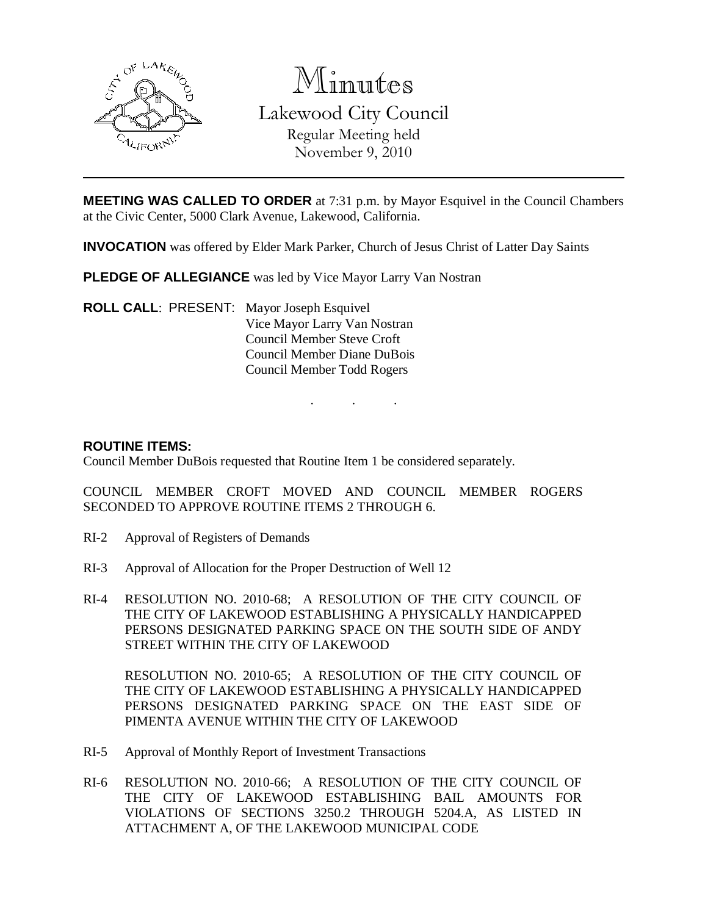

Minutes Lakewood City Council Regular Meeting held November 9, 2010

**MEETING WAS CALLED TO ORDER** at 7:31 p.m. by Mayor Esquivel in the Council Chambers at the Civic Center, 5000 Clark Avenue, Lakewood, California.

. . .

**INVOCATION** was offered by Elder Mark Parker, Church of Jesus Christ of Latter Day Saints

**PLEDGE OF ALLEGIANCE** was led by Vice Mayor Larry Van Nostran

**ROLL CALL**: PRESENT: Mayor Joseph Esquivel Vice Mayor Larry Van Nostran Council Member Steve Croft Council Member Diane DuBois Council Member Todd Rogers

#### **ROUTINE ITEMS:**

Council Member DuBois requested that Routine Item 1 be considered separately.

COUNCIL MEMBER CROFT MOVED AND COUNCIL MEMBER ROGERS SECONDED TO APPROVE ROUTINE ITEMS 2 THROUGH 6.

- RI-2 Approval of Registers of Demands
- RI-3 Approval of Allocation for the Proper Destruction of Well 12
- RI-4 RESOLUTION NO. 2010-68; A RESOLUTION OF THE CITY COUNCIL OF THE CITY OF LAKEWOOD ESTABLISHING A PHYSICALLY HANDICAPPED PERSONS DESIGNATED PARKING SPACE ON THE SOUTH SIDE OF ANDY STREET WITHIN THE CITY OF LAKEWOOD

RESOLUTION NO. 2010-65; A RESOLUTION OF THE CITY COUNCIL OF THE CITY OF LAKEWOOD ESTABLISHING A PHYSICALLY HANDICAPPED PERSONS DESIGNATED PARKING SPACE ON THE EAST SIDE OF PIMENTA AVENUE WITHIN THE CITY OF LAKEWOOD

- RI-5 Approval of Monthly Report of Investment Transactions
- RI-6 RESOLUTION NO. 2010-66; A RESOLUTION OF THE CITY COUNCIL OF THE CITY OF LAKEWOOD ESTABLISHING BAIL AMOUNTS FOR VIOLATIONS OF SECTIONS 3250.2 THROUGH 5204.A, AS LISTED IN ATTACHMENT A, OF THE LAKEWOOD MUNICIPAL CODE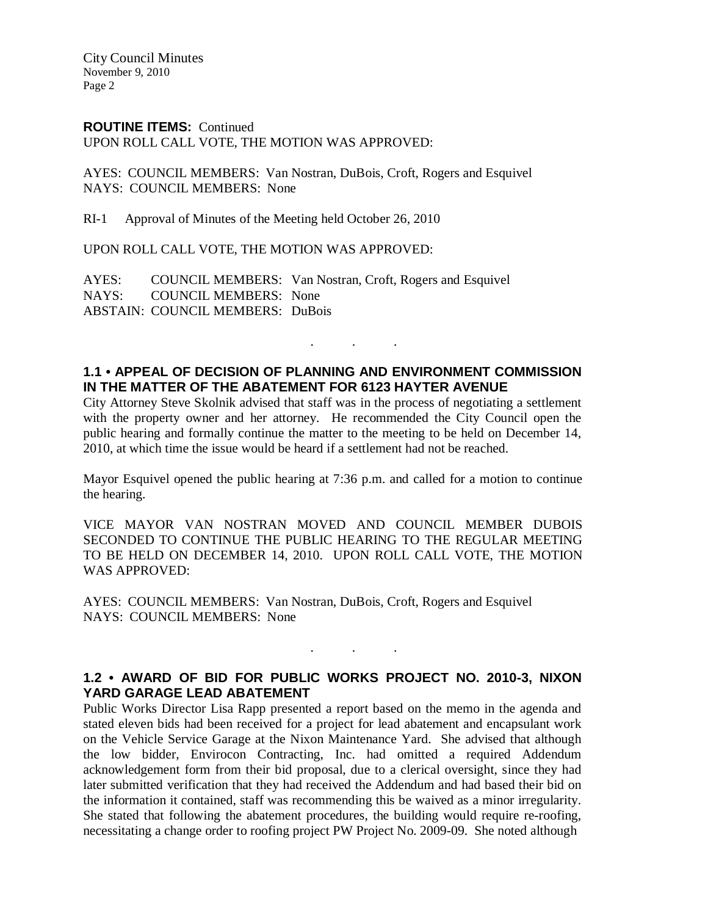City Council Minutes November 9, 2010 Page 2

#### **ROUTINE ITEMS:** Continued

UPON ROLL CALL VOTE, THE MOTION WAS APPROVED:

AYES: COUNCIL MEMBERS: Van Nostran, DuBois, Croft, Rogers and Esquivel NAYS: COUNCIL MEMBERS: None

RI-1 Approval of Minutes of the Meeting held October 26, 2010

UPON ROLL CALL VOTE, THE MOTION WAS APPROVED:

AYES: COUNCIL MEMBERS: Van Nostran, Croft, Rogers and Esquivel NAYS: COUNCIL MEMBERS: None ABSTAIN: COUNCIL MEMBERS: DuBois

## **1.1 • APPEAL OF DECISION OF PLANNING AND ENVIRONMENT COMMISSION IN THE MATTER OF THE ABATEMENT FOR 6123 HAYTER AVENUE**

. . .

City Attorney Steve Skolnik advised that staff was in the process of negotiating a settlement with the property owner and her attorney. He recommended the City Council open the public hearing and formally continue the matter to the meeting to be held on December 14, 2010, at which time the issue would be heard if a settlement had not be reached.

Mayor Esquivel opened the public hearing at 7:36 p.m. and called for a motion to continue the hearing.

VICE MAYOR VAN NOSTRAN MOVED AND COUNCIL MEMBER DUBOIS SECONDED TO CONTINUE THE PUBLIC HEARING TO THE REGULAR MEETING TO BE HELD ON DECEMBER 14, 2010. UPON ROLL CALL VOTE, THE MOTION WAS APPROVED:

AYES: COUNCIL MEMBERS: Van Nostran, DuBois, Croft, Rogers and Esquivel NAYS: COUNCIL MEMBERS: None

## **1.2 • AWARD OF BID FOR PUBLIC WORKS PROJECT NO. 2010-3, NIXON YARD GARAGE LEAD ABATEMENT**

. . .

Public Works Director Lisa Rapp presented a report based on the memo in the agenda and stated eleven bids had been received for a project for lead abatement and encapsulant work on the Vehicle Service Garage at the Nixon Maintenance Yard. She advised that although the low bidder, Envirocon Contracting, Inc. had omitted a required Addendum acknowledgement form from their bid proposal, due to a clerical oversight, since they had later submitted verification that they had received the Addendum and had based their bid on the information it contained, staff was recommending this be waived as a minor irregularity. She stated that following the abatement procedures, the building would require re-roofing, necessitating a change order to roofing project PW Project No. 2009-09. She noted although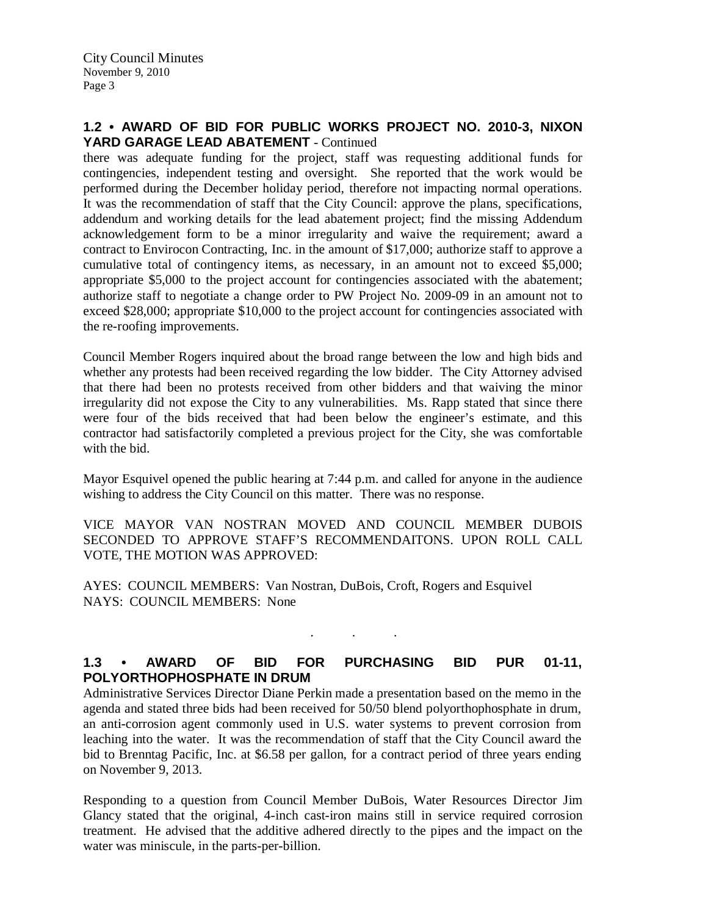## **1.2 • AWARD OF BID FOR PUBLIC WORKS PROJECT NO. 2010-3, NIXON YARD GARAGE LEAD ABATEMENT** - Continued

there was adequate funding for the project, staff was requesting additional funds for contingencies, independent testing and oversight. She reported that the work would be performed during the December holiday period, therefore not impacting normal operations. It was the recommendation of staff that the City Council: approve the plans, specifications, addendum and working details for the lead abatement project; find the missing Addendum acknowledgement form to be a minor irregularity and waive the requirement; award a contract to Envirocon Contracting, Inc. in the amount of \$17,000; authorize staff to approve a cumulative total of contingency items, as necessary, in an amount not to exceed \$5,000; appropriate \$5,000 to the project account for contingencies associated with the abatement; authorize staff to negotiate a change order to PW Project No. 2009-09 in an amount not to exceed \$28,000; appropriate \$10,000 to the project account for contingencies associated with the re-roofing improvements.

Council Member Rogers inquired about the broad range between the low and high bids and whether any protests had been received regarding the low bidder. The City Attorney advised that there had been no protests received from other bidders and that waiving the minor irregularity did not expose the City to any vulnerabilities. Ms. Rapp stated that since there were four of the bids received that had been below the engineer's estimate, and this contractor had satisfactorily completed a previous project for the City, she was comfortable with the bid.

Mayor Esquivel opened the public hearing at 7:44 p.m. and called for anyone in the audience wishing to address the City Council on this matter. There was no response.

VICE MAYOR VAN NOSTRAN MOVED AND COUNCIL MEMBER DUBOIS SECONDED TO APPROVE STAFF'S RECOMMENDAITONS. UPON ROLL CALL VOTE, THE MOTION WAS APPROVED:

AYES: COUNCIL MEMBERS: Van Nostran, DuBois, Croft, Rogers and Esquivel NAYS: COUNCIL MEMBERS: None

# **1.3 • AWARD OF BID FOR PURCHASING BID PUR 01-11, POLYORTHOPHOSPHATE IN DRUM**

. . .

Administrative Services Director Diane Perkin made a presentation based on the memo in the agenda and stated three bids had been received for 50/50 blend polyorthophosphate in drum, an anti-corrosion agent commonly used in U.S. water systems to prevent corrosion from leaching into the water. It was the recommendation of staff that the City Council award the bid to Brenntag Pacific, Inc. at \$6.58 per gallon, for a contract period of three years ending on November 9, 2013.

Responding to a question from Council Member DuBois, Water Resources Director Jim Glancy stated that the original, 4-inch cast-iron mains still in service required corrosion treatment. He advised that the additive adhered directly to the pipes and the impact on the water was miniscule, in the parts-per-billion.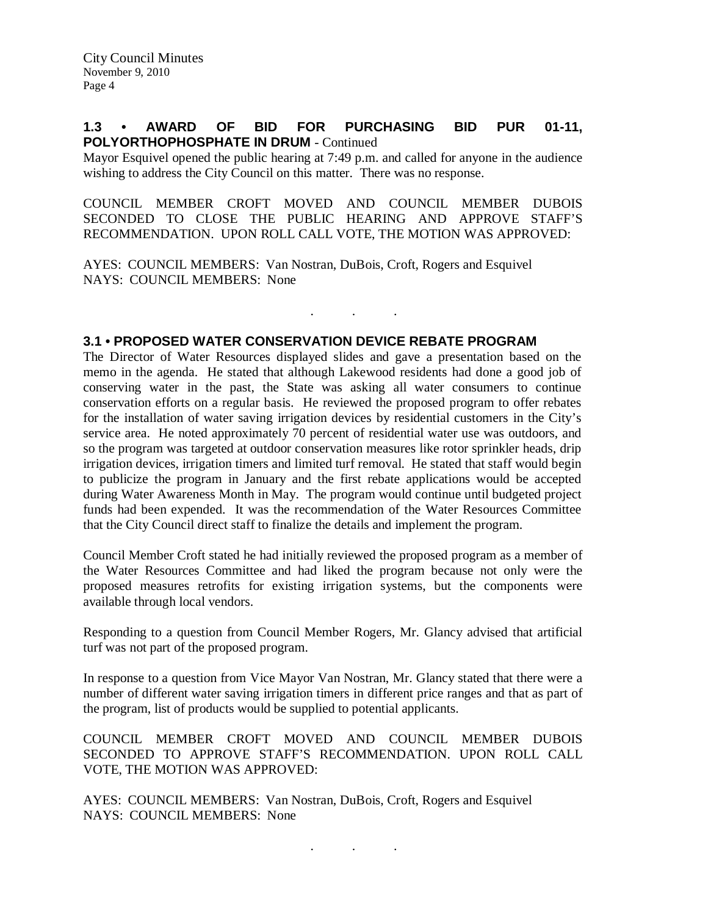### **1.3 • AWARD OF BID FOR PURCHASING BID PUR 01-11, POLYORTHOPHOSPHATE IN DRUM** - Continued

Mayor Esquivel opened the public hearing at 7:49 p.m. and called for anyone in the audience wishing to address the City Council on this matter. There was no response.

COUNCIL MEMBER CROFT MOVED AND COUNCIL MEMBER DUBOIS SECONDED TO CLOSE THE PUBLIC HEARING AND APPROVE STAFF'S RECOMMENDATION. UPON ROLL CALL VOTE, THE MOTION WAS APPROVED:

. . .

AYES: COUNCIL MEMBERS: Van Nostran, DuBois, Croft, Rogers and Esquivel NAYS: COUNCIL MEMBERS: None

## **3.1 • PROPOSED WATER CONSERVATION DEVICE REBATE PROGRAM**

The Director of Water Resources displayed slides and gave a presentation based on the memo in the agenda. He stated that although Lakewood residents had done a good job of conserving water in the past, the State was asking all water consumers to continue conservation efforts on a regular basis. He reviewed the proposed program to offer rebates for the installation of water saving irrigation devices by residential customers in the City's service area. He noted approximately 70 percent of residential water use was outdoors, and so the program was targeted at outdoor conservation measures like rotor sprinkler heads, drip irrigation devices, irrigation timers and limited turf removal. He stated that staff would begin to publicize the program in January and the first rebate applications would be accepted during Water Awareness Month in May. The program would continue until budgeted project funds had been expended. It was the recommendation of the Water Resources Committee that the City Council direct staff to finalize the details and implement the program.

Council Member Croft stated he had initially reviewed the proposed program as a member of the Water Resources Committee and had liked the program because not only were the proposed measures retrofits for existing irrigation systems, but the components were available through local vendors.

Responding to a question from Council Member Rogers, Mr. Glancy advised that artificial turf was not part of the proposed program.

In response to a question from Vice Mayor Van Nostran, Mr. Glancy stated that there were a number of different water saving irrigation timers in different price ranges and that as part of the program, list of products would be supplied to potential applicants.

COUNCIL MEMBER CROFT MOVED AND COUNCIL MEMBER DUBOIS SECONDED TO APPROVE STAFF'S RECOMMENDATION. UPON ROLL CALL VOTE, THE MOTION WAS APPROVED:

AYES: COUNCIL MEMBERS: Van Nostran, DuBois, Croft, Rogers and Esquivel NAYS: COUNCIL MEMBERS: None

. . .